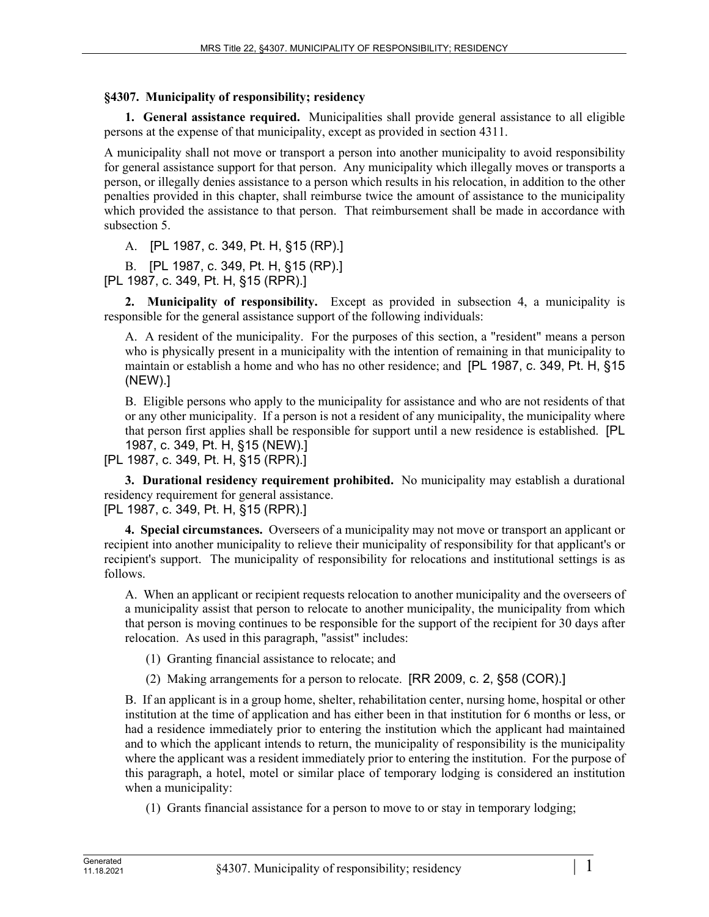## **§4307. Municipality of responsibility; residency**

**1. General assistance required.** Municipalities shall provide general assistance to all eligible persons at the expense of that municipality, except as provided in section 4311.

A municipality shall not move or transport a person into another municipality to avoid responsibility for general assistance support for that person. Any municipality which illegally moves or transports a person, or illegally denies assistance to a person which results in his relocation, in addition to the other penalties provided in this chapter, shall reimburse twice the amount of assistance to the municipality which provided the assistance to that person. That reimbursement shall be made in accordance with subsection 5.

A. [PL 1987, c. 349, Pt. H, §15 (RP).]

B. [PL 1987, c. 349, Pt. H, §15 (RP).] [PL 1987, c. 349, Pt. H, §15 (RPR).]

**2. Municipality of responsibility.** Except as provided in subsection 4, a municipality is responsible for the general assistance support of the following individuals:

A. A resident of the municipality. For the purposes of this section, a "resident" means a person who is physically present in a municipality with the intention of remaining in that municipality to maintain or establish a home and who has no other residence; and [PL 1987, c. 349, Pt. H, §15 (NEW).]

B. Eligible persons who apply to the municipality for assistance and who are not residents of that or any other municipality. If a person is not a resident of any municipality, the municipality where that person first applies shall be responsible for support until a new residence is established. [PL 1987, c. 349, Pt. H, §15 (NEW).]

[PL 1987, c. 349, Pt. H, §15 (RPR).]

**3. Durational residency requirement prohibited.** No municipality may establish a durational residency requirement for general assistance. [PL 1987, c. 349, Pt. H, §15 (RPR).]

**4. Special circumstances.** Overseers of a municipality may not move or transport an applicant or recipient into another municipality to relieve their municipality of responsibility for that applicant's or recipient's support. The municipality of responsibility for relocations and institutional settings is as follows.

A. When an applicant or recipient requests relocation to another municipality and the overseers of a municipality assist that person to relocate to another municipality, the municipality from which that person is moving continues to be responsible for the support of the recipient for 30 days after relocation. As used in this paragraph, "assist" includes:

(1) Granting financial assistance to relocate; and

(2) Making arrangements for a person to relocate. [RR 2009, c. 2, §58 (COR).]

B. If an applicant is in a group home, shelter, rehabilitation center, nursing home, hospital or other institution at the time of application and has either been in that institution for 6 months or less, or had a residence immediately prior to entering the institution which the applicant had maintained and to which the applicant intends to return, the municipality of responsibility is the municipality where the applicant was a resident immediately prior to entering the institution. For the purpose of this paragraph, a hotel, motel or similar place of temporary lodging is considered an institution when a municipality:

(1) Grants financial assistance for a person to move to or stay in temporary lodging;